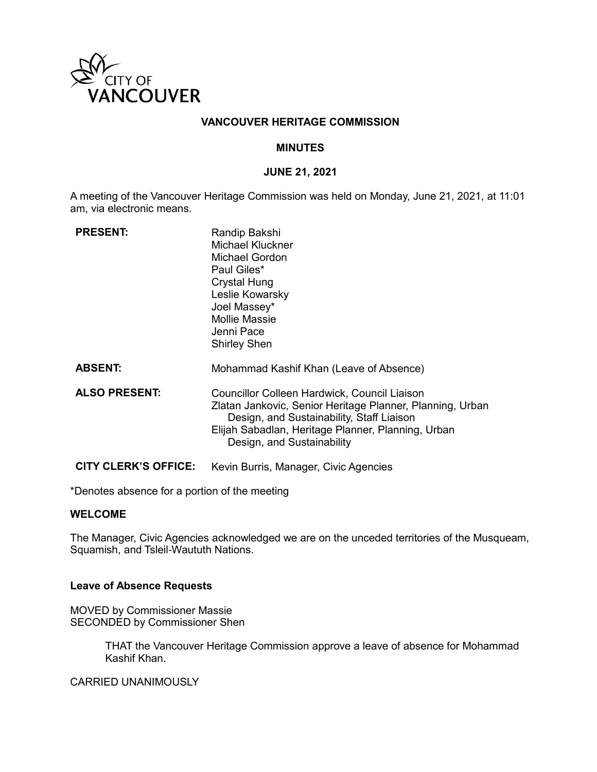

# **VANCOUVER HERITAGE COMMISSION**

## **MINUTES**

### **JUNE 21, 2021**

A meeting of the Vancouver Heritage Commission was held on Monday, June 21, 2021, at 11:01 am, via electronic means.

| <b>PRESENT:</b>             | Randip Bakshi<br>Michael Kluckner<br><b>Michael Gordon</b><br>Paul Giles*<br><b>Crystal Hung</b><br>Leslie Kowarsky<br>Joel Massey*<br>Mollie Massie<br>Jenni Pace<br><b>Shirley Shen</b>                                                  |
|-----------------------------|--------------------------------------------------------------------------------------------------------------------------------------------------------------------------------------------------------------------------------------------|
| <b>ABSENT:</b>              | Mohammad Kashif Khan (Leave of Absence)                                                                                                                                                                                                    |
| <b>ALSO PRESENT:</b>        | Councillor Colleen Hardwick, Council Liaison<br>Zlatan Jankovic, Senior Heritage Planner, Planning, Urban<br>Design, and Sustainability, Staff Liaison<br>Elijah Sabadlan, Heritage Planner, Planning, Urban<br>Design, and Sustainability |
| <b>CITY CLERK'S OFFICE:</b> | Kevin Burris, Manager, Civic Agencies                                                                                                                                                                                                      |

\*Denotes absence for a portion of the meeting

# **WELCOME**

The Manager, Civic Agencies acknowledged we are on the unceded territories of the Musqueam, Squamish, and Tsleil-Waututh Nations.

### **Leave of Absence Requests**

MOVED by Commissioner Massie SECONDED by Commissioner Shen

> THAT the Vancouver Heritage Commission approve a leave of absence for Mohammad Kashif Khan.

CARRIED UNANIMOUSLY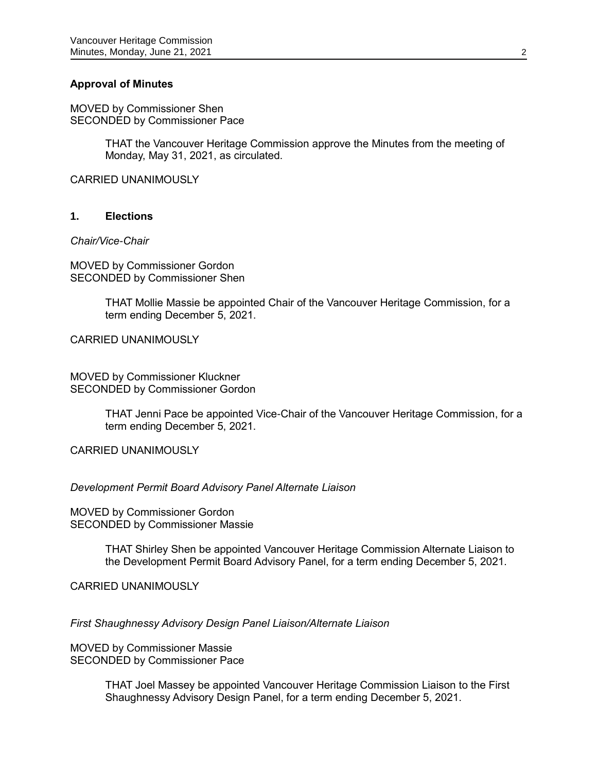# **Approval of Minutes**

MOVED by Commissioner Shen SECONDED by Commissioner Pace

> THAT the Vancouver Heritage Commission approve the Minutes from the meeting of Monday, May 31, 2021, as circulated.

CARRIED UNANIMOUSLY

# **1. Elections**

*Chair/Vice-Chair*

MOVED by Commissioner Gordon SECONDED by Commissioner Shen

> THAT Mollie Massie be appointed Chair of the Vancouver Heritage Commission, for a term ending December 5, 2021.

CARRIED UNANIMOUSLY

MOVED by Commissioner Kluckner SECONDED by Commissioner Gordon

> THAT Jenni Pace be appointed Vice-Chair of the Vancouver Heritage Commission, for a term ending December 5, 2021.

CARRIED UNANIMOUSLY

### *Development Permit Board Advisory Panel Alternate Liaison*

MOVED by Commissioner Gordon SECONDED by Commissioner Massie

> THAT Shirley Shen be appointed Vancouver Heritage Commission Alternate Liaison to the Development Permit Board Advisory Panel, for a term ending December 5, 2021.

CARRIED UNANIMOUSLY

*First Shaughnessy Advisory Design Panel Liaison/Alternate Liaison*

MOVED by Commissioner Massie SECONDED by Commissioner Pace

> THAT Joel Massey be appointed Vancouver Heritage Commission Liaison to the First Shaughnessy Advisory Design Panel, for a term ending December 5, 2021.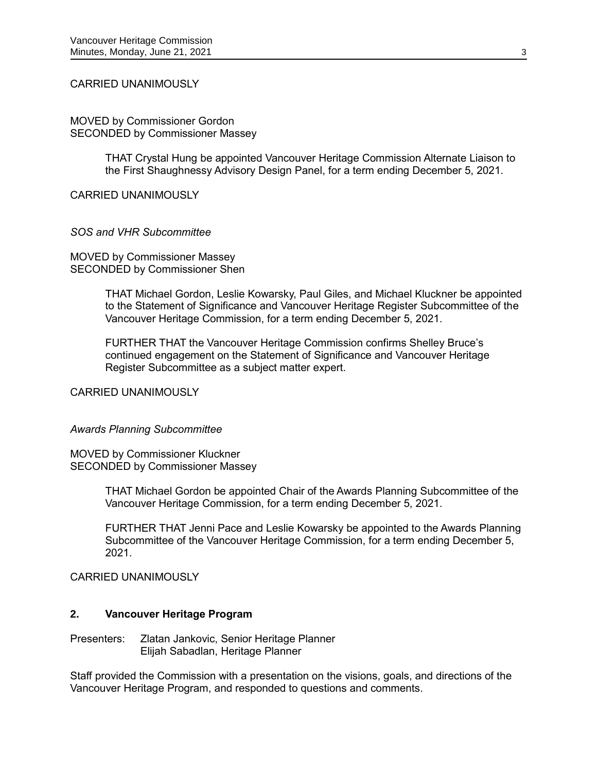### CARRIED UNANIMOUSLY

MOVED by Commissioner Gordon SECONDED by Commissioner Massey

> THAT Crystal Hung be appointed Vancouver Heritage Commission Alternate Liaison to the First Shaughnessy Advisory Design Panel, for a term ending December 5, 2021.

CARRIED UNANIMOUSLY

#### *SOS and VHR Subcommittee*

MOVED by Commissioner Massey SECONDED by Commissioner Shen

> THAT Michael Gordon, Leslie Kowarsky, Paul Giles, and Michael Kluckner be appointed to the Statement of Significance and Vancouver Heritage Register Subcommittee of the Vancouver Heritage Commission, for a term ending December 5, 2021.

FURTHER THAT the Vancouver Heritage Commission confirms Shelley Bruce's continued engagement on the Statement of Significance and Vancouver Heritage Register Subcommittee as a subject matter expert.

CARRIED UNANIMOUSLY

#### *Awards Planning Subcommittee*

MOVED by Commissioner Kluckner SECONDED by Commissioner Massey

> THAT Michael Gordon be appointed Chair of the Awards Planning Subcommittee of the Vancouver Heritage Commission, for a term ending December 5, 2021.

> FURTHER THAT Jenni Pace and Leslie Kowarsky be appointed to the Awards Planning Subcommittee of the Vancouver Heritage Commission, for a term ending December 5, 2021.

CARRIED UNANIMOUSLY

## **2. Vancouver Heritage Program**

Presenters: Zlatan Jankovic, Senior Heritage Planner Elijah Sabadlan, Heritage Planner

Staff provided the Commission with a presentation on the visions, goals, and directions of the Vancouver Heritage Program, and responded to questions and comments.